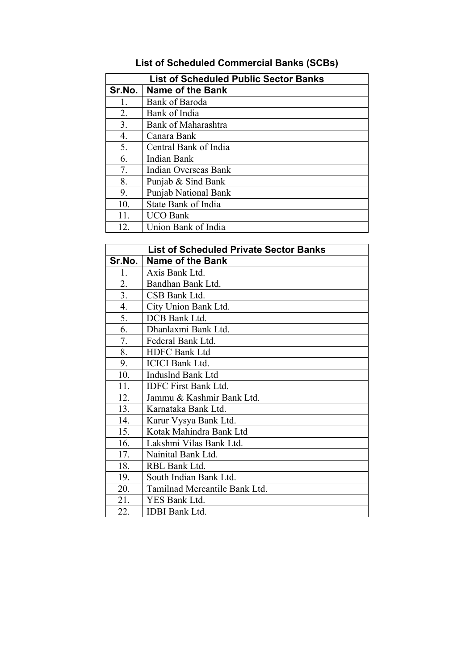## **List of Scheduled Commercial Banks (SCBs)**

| <b>List of Scheduled Public Sector Banks</b> |                             |
|----------------------------------------------|-----------------------------|
| Sr.No.                                       | <b>Name of the Bank</b>     |
| 1.                                           | Bank of Baroda              |
| 2.                                           | Bank of India               |
| 3.                                           | <b>Bank of Maharashtra</b>  |
| 4.                                           | Canara Bank                 |
| 5.                                           | Central Bank of India       |
| 6.                                           | Indian Bank                 |
| 7.                                           | Indian Overseas Bank        |
| 8.                                           | Punjab & Sind Bank          |
| 9.                                           | <b>Punjab National Bank</b> |
| 10.                                          | State Bank of India         |
| 11.                                          | <b>UCO Bank</b>             |
| 12.                                          | Union Bank of India         |

| <b>List of Scheduled Private Sector Banks</b> |                               |
|-----------------------------------------------|-------------------------------|
| Sr.No.                                        | <b>Name of the Bank</b>       |
| 1.                                            | Axis Bank Ltd.                |
| 2.                                            | Bandhan Bank Ltd.             |
| 3.                                            | CSB Bank Ltd.                 |
| 4.                                            | City Union Bank Ltd.          |
| 5.                                            | DCB Bank Ltd.                 |
| 6.                                            | Dhanlaxmi Bank Ltd.           |
| 7.                                            | Federal Bank Ltd.             |
| 8.                                            | <b>HDFC Bank Ltd</b>          |
| 9.                                            | <b>ICICI</b> Bank Ltd.        |
| 10.                                           | <b>Induslnd Bank Ltd</b>      |
| 11.                                           | <b>IDFC First Bank Ltd.</b>   |
| 12.                                           | Jammu & Kashmir Bank Ltd.     |
| 13.                                           | Karnataka Bank Ltd.           |
| 14.                                           | Karur Vysya Bank Ltd.         |
| 15.                                           | Kotak Mahindra Bank Ltd       |
| 16.                                           | Lakshmi Vilas Bank Ltd.       |
| 17.                                           | Nainital Bank Ltd.            |
| 18.                                           | RBL Bank Ltd.                 |
| 19.                                           | South Indian Bank Ltd.        |
| 20.                                           | Tamilnad Mercantile Bank Ltd. |
| 21.                                           | YES Bank Ltd.                 |
| 22.                                           | <b>IDBI</b> Bank Ltd.         |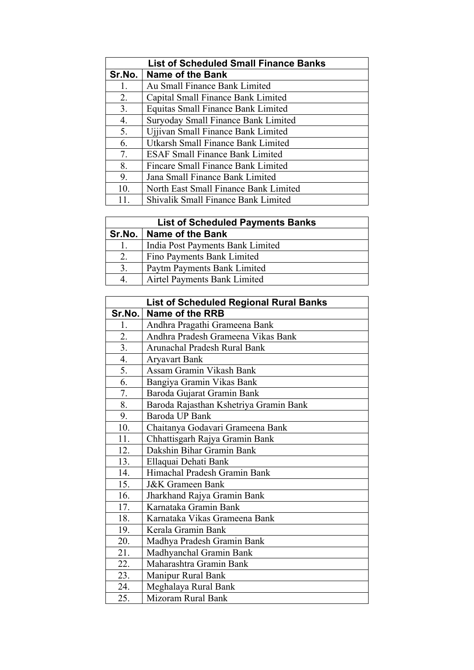| <b>List of Scheduled Small Finance Banks</b> |                                            |
|----------------------------------------------|--------------------------------------------|
| Sr.No.                                       | <b>Name of the Bank</b>                    |
| 1.                                           | Au Small Finance Bank Limited              |
| 2.                                           | Capital Small Finance Bank Limited         |
| 3.                                           | <b>Equitas Small Finance Bank Limited</b>  |
| 4.                                           | Suryoday Small Finance Bank Limited        |
| 5.                                           | Ujjivan Small Finance Bank Limited         |
| 6.                                           | Utkarsh Small Finance Bank Limited         |
| 7.                                           | <b>ESAF Small Finance Bank Limited</b>     |
| 8.                                           | Fincare Small Finance Bank Limited         |
| 9.                                           | Jana Small Finance Bank Limited            |
| 10.                                          | North East Small Finance Bank Limited      |
|                                              | <b>Shivalik Small Finance Bank Limited</b> |

| <b>List of Scheduled Payments Banks</b> |                                  |
|-----------------------------------------|----------------------------------|
|                                         | Sr.No.   Name of the Bank        |
| 1.                                      | India Post Payments Bank Limited |
| 2.                                      | Fino Payments Bank Limited       |
| 3.                                      | Paytm Payments Bank Limited      |
| $\mathbf 4$                             | Airtel Payments Bank Limited     |

| <b>List of Scheduled Regional Rural Banks</b> |                                        |
|-----------------------------------------------|----------------------------------------|
| Sr.No.                                        | Name of the RRB                        |
| 1.                                            | Andhra Pragathi Grameena Bank          |
| 2.                                            | Andhra Pradesh Grameena Vikas Bank     |
| 3.                                            | Arunachal Pradesh Rural Bank           |
| $\overline{4}$ .                              | <b>Aryavart Bank</b>                   |
| 5.                                            | Assam Gramin Vikash Bank               |
| 6.                                            | Bangiya Gramin Vikas Bank              |
| 7.                                            | Baroda Gujarat Gramin Bank             |
| 8.                                            | Baroda Rajasthan Kshetriya Gramin Bank |
| 9.                                            | Baroda UP Bank                         |
| 10.                                           | Chaitanya Godavari Grameena Bank       |
| 11.                                           | Chhattisgarh Rajya Gramin Bank         |
| 12.                                           | Dakshin Bihar Gramin Bank              |
| 13.                                           | Ellaquai Dehati Bank                   |
| 14.                                           | Himachal Pradesh Gramin Bank           |
| 15.                                           | <b>J&amp;K</b> Grameen Bank            |
| 16.                                           | Jharkhand Rajya Gramin Bank            |
| 17.                                           | Karnataka Gramin Bank                  |
| 18.                                           | Karnataka Vikas Grameena Bank          |
| 19.                                           | Kerala Gramin Bank                     |
| 20.                                           | Madhya Pradesh Gramin Bank             |
| 21.                                           | Madhyanchal Gramin Bank                |
| 22.                                           | Maharashtra Gramin Bank                |
| 23.                                           | Manipur Rural Bank                     |
| 24.                                           | Meghalaya Rural Bank                   |
| 25.                                           | Mizoram Rural Bank                     |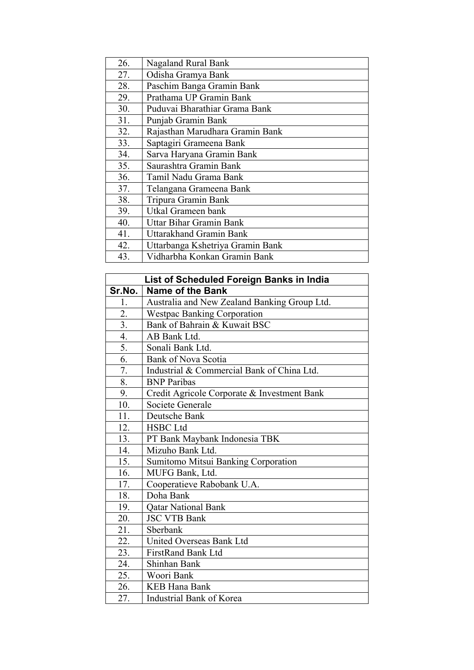| 26. | Nagaland Rural Bank              |
|-----|----------------------------------|
| 27. | Odisha Gramya Bank               |
| 28. | Paschim Banga Gramin Bank        |
| 29. | Prathama UP Gramin Bank          |
| 30. | Puduvai Bharathiar Grama Bank    |
| 31. | Punjab Gramin Bank               |
| 32. | Rajasthan Marudhara Gramin Bank  |
| 33. | Saptagiri Grameena Bank          |
| 34. | Sarva Haryana Gramin Bank        |
| 35. | Saurashtra Gramin Bank           |
| 36. | Tamil Nadu Grama Bank            |
| 37. | Telangana Grameena Bank          |
| 38. | Tripura Gramin Bank              |
| 39. | Utkal Grameen bank               |
| 40. | <b>Uttar Bihar Gramin Bank</b>   |
| 41. | Uttarakhand Gramin Bank          |
| 42. | Uttarbanga Kshetriya Gramin Bank |
| 43. | Vidharbha Konkan Gramin Bank     |

| List of Scheduled Foreign Banks in India |                                              |
|------------------------------------------|----------------------------------------------|
| Sr.No.                                   | <b>Name of the Bank</b>                      |
| 1.                                       | Australia and New Zealand Banking Group Ltd. |
| 2.                                       | <b>Westpac Banking Corporation</b>           |
| $\overline{3}$ .                         | Bank of Bahrain & Kuwait BSC                 |
| 4.                                       | AB Bank Ltd.                                 |
| 5.                                       | Sonali Bank Ltd.                             |
| 6.                                       | <b>Bank of Nova Scotia</b>                   |
| 7.                                       | Industrial & Commercial Bank of China Ltd.   |
| 8.                                       | <b>BNP</b> Paribas                           |
| 9.                                       | Credit Agricole Corporate & Investment Bank  |
| 10.                                      | Societe Generale                             |
| 11.                                      | Deutsche Bank                                |
| 12.                                      | <b>HSBC Ltd</b>                              |
| 13.                                      | PT Bank Maybank Indonesia TBK                |
| 14.                                      | Mizuho Bank Ltd.                             |
| 15.                                      | Sumitomo Mitsui Banking Corporation          |
| 16.                                      | MUFG Bank, Ltd.                              |
| 17.                                      | Cooperatieve Rabobank U.A.                   |
| 18.                                      | Doha Bank                                    |
| 19.                                      | <b>Qatar National Bank</b>                   |
| 20.                                      | <b>JSC VTB Bank</b>                          |
| 21.                                      | Sberbank                                     |
| 22.                                      | United Overseas Bank Ltd                     |
| 23.                                      | <b>FirstRand Bank Ltd</b>                    |
| 24.                                      | Shinhan Bank                                 |
| 25.                                      | Woori Bank                                   |
| 26.                                      | <b>KEB Hana Bank</b>                         |
| 27.                                      | Industrial Bank of Korea                     |